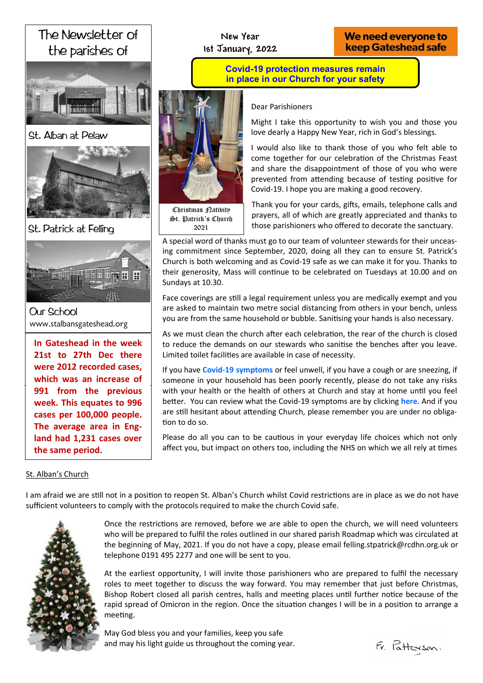# The Newsletter of the parishes of



St. Alban at Pelaw



St. Patrick at Felling



**Our School** www.stalbansgateshead.org

**In Gateshead in the week** 21st to 27th Dec there **in the Partnership were 2012 recorded cases,**  which was an increase of **St. Patrick's Presbytery week. This equates to 996**  we this equates to cases per 100,000 people.<br>land had 1,231 cases over **the same period. 991 from the previous The average area in Eng-**

**New Year 1st January, 2022**

# We need everyone to **keep Gateshead safe**

**Covid-19 protection measures remain in place in our Church for your safety**



Christmas <sub>Latibity</sub> St. Patrick's Church 2021

Dear Parishioners

Might I take this opportunity to wish you and those you love dearly a Happy New Year, rich in God's blessings.

I would also like to thank those of you who felt able to come together for our celebration of the Christmas Feast and share the disappointment of those of you who were prevented from attending because of testing positive for Covid-19. I hope you are making a good recovery.

Thank you for your cards, gifts, emails, telephone calls and prayers, all of which are greatly appreciated and thanks to those parishioners who offered to decorate the sanctuary.

A special word of thanks must go to our team of volunteer stewards for their unceasing commitment since September, 2020, doing all they can to ensure St. Patrick's Church is both welcoming and as Covid-19 safe as we can make it for you. Thanks to their generosity, Mass will continue to be celebrated on Tuesdays at 10.00 and on Sundays at 10.30.

Face coverings are still a legal requirement unless you are medically exempt and you are asked to maintain two metre social distancing from others in your bench, unless you are from the same household or bubble. Sanitising your hands is also necessary.

As we must clean the church after each celebration, the rear of the church is closed to reduce the demands on our stewards who sanitise the benches after you leave. Limited toilet facilities are available in case of necessity.

If you have **Covid-[19 symptoms](https://covid.joinzoe.com/post/do-i-have-covid-or-a-cold-how-to-tell-the-difference)** or feel unwell, if you have a cough or are sneezing, if someone in your household has been poorly recently, please do not take any risks with your health or the health of others at Church and stay at home until you feel better. You can review what the Covid-19 symptoms are by clicking **[here](https://covid.joinzoe.com/post/do-i-have-covid-or-a-cold-how-to-tell-the-difference)**. And if you are still hesitant about attending Church, please remember you are under no obligation to do so.

Please do all you can to be cautious in your everyday life choices which not only affect you, but impact on others too, including the NHS on which we all rely at times

# St. Alban's Church

I am afraid we are still not in a position to reopen St. Alban's Church whilst Covid restrictions are in place as we do not have sufficient volunteers to comply with the protocols required to make the church Covid safe.



Once the restrictions are removed, before we are able to open the church, we will need volunteers who will be prepared to fulfil the roles outlined in our shared parish Roadmap which was circulated at the beginning of May, 2021. If you do not have a copy, please email felling.stpatrick@rcdhn.org.uk or telephone 0191 495 2277 and one will be sent to you.

At the earliest opportunity, I will invite those parishioners who are prepared to fulfil the necessary roles to meet together to discuss the way forward. You may remember that just before Christmas, Bishop Robert closed all parish centres, halls and meeting places until further notice because of the rapid spread of Omicron in the region. Once the situation changes I will be in a position to arrange a meeting.

May God bless you and your families, keep you safe and may his light guide us throughout the coming year.

 $Fv$  Pattersson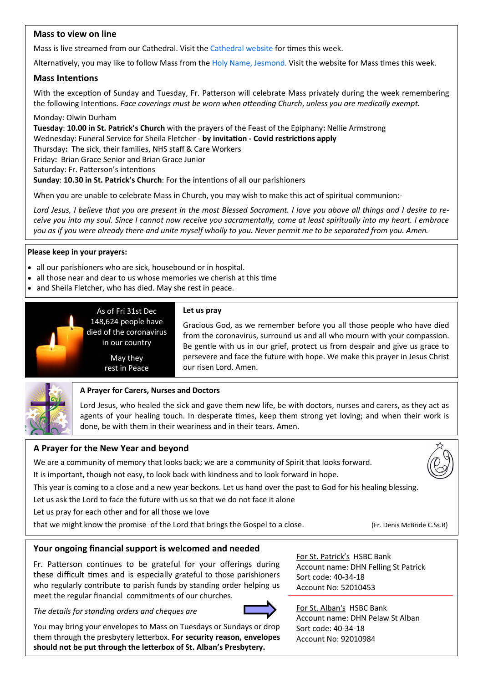# **Mass to view on line**

Mass is live streamed from our Cathedral. Visit the [Cathedral website](https://www.youtube.com/channel/UC12EvW0Eqg-cFTh5i2y_EQw) for times this week.

Alternatively, you may like to follow Mass from the [Holy Name, Jesmond.](https://www.youtube.com/channel/UCnVss0mkVR2GKS5VPJOEsDA) Visit the website for Mass times this week.

# **Mass Intentions**

With the exception of Sunday and Tuesday, Fr. Patterson will celebrate Mass privately during the week remembering the following Intentions. *Face coverings must be worn when attending Church*, *unless you are medically exempt.*

Monday: Olwin Durham

**Tuesday**: **10.00 in St. Patrick's Church** with the prayers of the Feast of the Epiphany**:** Nellie Armstrong Wednesday: Funeral Service for Sheila Fletcher - **by invitation - Covid restrictions apply** Thursday**:** The sick, their families, NHS staff & Care Workers Friday**:** Brian Grace Senior and Brian Grace Junior

Saturday: Fr. Patterson's intentions

**Sunday**: **10.30 in St. Patrick's Church**: For the intentions of all our parishioners

When you are unable to celebrate Mass in Church, you may wish to make this act of spiritual communion:-

*Lord Jesus, I believe that you are present in the most Blessed Sacrament. I love you above all things and I desire to receive you into my soul. Since I cannot now receive you sacramentally, come at least spiritually into my heart. I embrace you as if you were already there and unite myself wholly to you. Never permit me to be separated from you. Amen.*

### **Please keep in your prayers:**

- all our parishioners who are sick, housebound or in hospital.
- all those near and dear to us whose memories we cherish at this time
- and Sheila Fletcher, who has died. May she rest in peace.

in our country May they rest in Peace



### **Let us pray**

Gracious God, as we remember before you all those people who have died from the coronavirus, surround us and all who mourn with your compassion. Be gentle with us in our grief, protect us from despair and give us grace to persevere and face the future with hope. We make this prayer in Jesus Christ our risen Lord. Amen.



# **A Prayer for Carers, Nurses and Doctors**

Lord Jesus, who healed the sick and gave them new life, be with doctors, nurses and carers, as they act as agents of your healing touch. In desperate times, keep them strong yet loving; and when their work is done, be with them in their weariness and in their tears. Amen.

# **A Prayer for the New Year and beyond**

We are a community of memory that looks back; we are a community of Spirit that looks forward.

It is important, though not easy, to look back with kindness and to look forward in hope.

This year is coming to a close and a new year beckons. Let us hand over the past to God for his healing blessing.

Let us ask the Lord to face the future with us so that we do not face it alone

Let us pray for each other and for all those we love

that we might know the promise of the Lord that brings the Gospel to a close. (Fr. Denis McBride C.Ss.R)



# **Your ongoing financial support is welcomed and needed**

Fr. Patterson continues to be grateful for your offerings during these difficult times and is especially grateful to those parishioners who regularly contribute to parish funds by standing order helping us meet the regular financial commitments of our churches.

*The details for standing orders and cheques are*



For St. Patrick's HSBC Bank Account name: DHN Felling St Patrick Sort code: 40-34-18 Account No: 52010453

You may bring your envelopes to Mass on Tuesdays or Sundays or drop them through the presbytery letterbox. **For security reason, envelopes should not be put through the letterbox of St. Alban's Presbytery.**

For St. Alban's HSBC Bank Account name: DHN Pelaw St Alban Sort code: 40-34-18 Account No: 92010984